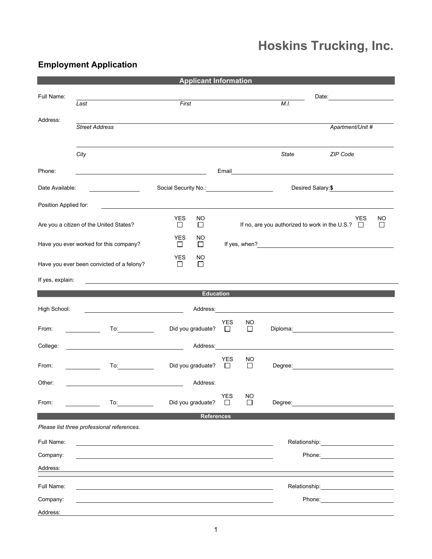## **Hoskins Trucking, Inc.**

## **Employment Application**

|                       |                                                                                                                       | <b>Applicant Information</b>                |                                                                                                                                                                                                                               |                     |              |  |                                                                                                                                                                                                                                |         |
|-----------------------|-----------------------------------------------------------------------------------------------------------------------|---------------------------------------------|-------------------------------------------------------------------------------------------------------------------------------------------------------------------------------------------------------------------------------|---------------------|--------------|--|--------------------------------------------------------------------------------------------------------------------------------------------------------------------------------------------------------------------------------|---------|
| Full Name:            |                                                                                                                       |                                             |                                                                                                                                                                                                                               |                     | Date: 2000   |  |                                                                                                                                                                                                                                |         |
|                       | Last                                                                                                                  | First                                       |                                                                                                                                                                                                                               |                     | M.I.         |  |                                                                                                                                                                                                                                |         |
| Address:              | <b>Street Address</b>                                                                                                 |                                             |                                                                                                                                                                                                                               |                     |              |  | Apartment/Unit #                                                                                                                                                                                                               |         |
|                       |                                                                                                                       |                                             |                                                                                                                                                                                                                               |                     |              |  |                                                                                                                                                                                                                                |         |
|                       | City                                                                                                                  |                                             |                                                                                                                                                                                                                               |                     | <b>State</b> |  | ZIP Code                                                                                                                                                                                                                       |         |
| Phone:                |                                                                                                                       |                                             |                                                                                                                                                                                                                               |                     |              |  |                                                                                                                                                                                                                                |         |
| Date Available:       |                                                                                                                       |                                             |                                                                                                                                                                                                                               |                     |              |  | Desired Salary: \$                                                                                                                                                                                                             |         |
| Position Applied for: |                                                                                                                       |                                             |                                                                                                                                                                                                                               |                     |              |  |                                                                                                                                                                                                                                |         |
|                       | Are you a citizen of the United States?                                                                               | <b>YES</b><br>NO.<br>□<br>□                 |                                                                                                                                                                                                                               |                     |              |  | YES<br>If no, are you authorized to work in the U.S.? $\square$                                                                                                                                                                | NO<br>□ |
|                       | Have you ever worked for this company?                                                                                | <b>YES</b><br>NO.<br>$\Box$<br>$\Box$       |                                                                                                                                                                                                                               |                     |              |  | If yes, when?<br>$\frac{1}{2}$                                                                                                                                                                                                 |         |
|                       | Have you ever been convicted of a felony?                                                                             | <b>YES</b><br><b>NO</b><br>$\Box$<br>$\Box$ |                                                                                                                                                                                                                               |                     |              |  |                                                                                                                                                                                                                                |         |
| If yes, explain:      |                                                                                                                       |                                             |                                                                                                                                                                                                                               |                     |              |  |                                                                                                                                                                                                                                |         |
|                       |                                                                                                                       |                                             | <b>Education</b>                                                                                                                                                                                                              |                     |              |  |                                                                                                                                                                                                                                |         |
| High School:          |                                                                                                                       |                                             | Address: Andrease and Address and Address and Address and Address and Address and Address and Address and Address and Address and Address and Address and Address and Address and Address and Address and Address and Address |                     |              |  |                                                                                                                                                                                                                                |         |
| From:                 | To:                                                                                                                   | Did you graduate?                           | <b>YES</b><br>□                                                                                                                                                                                                               | NO<br>$\Box$        |              |  |                                                                                                                                                                                                                                |         |
| College:              | <u> 1980 - Johann Barbara, martin amerikan basar dan basar dan basar dalam basar dalam basar dalam basar dalam ba</u> |                                             | Address: No. 1996                                                                                                                                                                                                             |                     |              |  | <u> 1989 - Johann Harry Harry Harry Harry Harry Harry Harry Harry Harry Harry Harry Harry Harry Harry Harry Harry</u>                                                                                                          |         |
| From:                 |                                                                                                                       | Did you graduate?                           | <b>YES</b><br>$\Box$                                                                                                                                                                                                          | <b>NO</b><br>$\Box$ |              |  |                                                                                                                                                                                                                                |         |
| Other:                |                                                                                                                       | Address:                                    |                                                                                                                                                                                                                               |                     |              |  |                                                                                                                                                                                                                                |         |
| From:                 | To: $\qquad \qquad \qquad$                                                                                            | Did you graduate?                           | <b>YES</b><br>$\Box$                                                                                                                                                                                                          | <b>NO</b><br>П      |              |  | Degree: the contract of the contract of the contract of the contract of the contract of the contract of the contract of the contract of the contract of the contract of the contract of the contract of the contract of the co |         |
| <b>References</b>     |                                                                                                                       |                                             |                                                                                                                                                                                                                               |                     |              |  |                                                                                                                                                                                                                                |         |
|                       | Please list three professional references.                                                                            |                                             |                                                                                                                                                                                                                               |                     |              |  |                                                                                                                                                                                                                                |         |
| Full Name:            |                                                                                                                       |                                             |                                                                                                                                                                                                                               |                     |              |  |                                                                                                                                                                                                                                |         |
| Company:              |                                                                                                                       |                                             |                                                                                                                                                                                                                               |                     |              |  |                                                                                                                                                                                                                                |         |
| Address:              |                                                                                                                       |                                             |                                                                                                                                                                                                                               |                     |              |  |                                                                                                                                                                                                                                |         |
| Full Name:            |                                                                                                                       |                                             |                                                                                                                                                                                                                               |                     |              |  | Relationship: 2000                                                                                                                                                                                                             |         |
| Company:              |                                                                                                                       |                                             |                                                                                                                                                                                                                               |                     |              |  | Phone: The contract of the contract of the contract of the contract of the contract of the contract of the contract of the contract of the contract of the contract of the contract of the contract of the contract of the con |         |
| Address:              |                                                                                                                       |                                             |                                                                                                                                                                                                                               |                     |              |  |                                                                                                                                                                                                                                |         |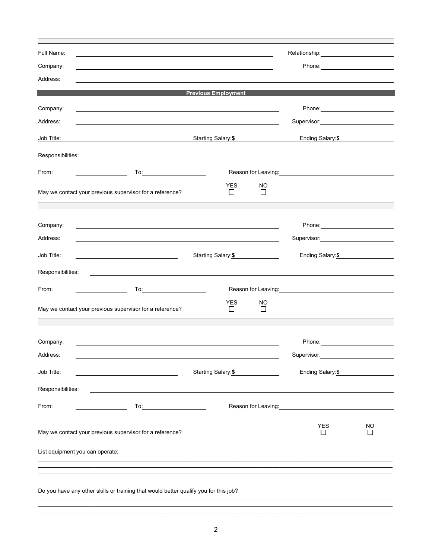|                                 |                                                                                                                  |                            |               |                                                                                                                                                                                                                                      | Relationship: example and a set of the set of the set of the set of the set of the set of the set of the set o |
|---------------------------------|------------------------------------------------------------------------------------------------------------------|----------------------------|---------------|--------------------------------------------------------------------------------------------------------------------------------------------------------------------------------------------------------------------------------------|----------------------------------------------------------------------------------------------------------------|
| Company:                        |                                                                                                                  |                            |               |                                                                                                                                                                                                                                      |                                                                                                                |
| Address:                        |                                                                                                                  |                            |               |                                                                                                                                                                                                                                      |                                                                                                                |
|                                 |                                                                                                                  | <b>Previous Employment</b> |               |                                                                                                                                                                                                                                      |                                                                                                                |
| Company:                        |                                                                                                                  |                            |               |                                                                                                                                                                                                                                      |                                                                                                                |
| Address:                        |                                                                                                                  |                            |               |                                                                                                                                                                                                                                      |                                                                                                                |
| Job Title:                      |                                                                                                                  | Starting Salary:\$         |               | Ending Salary: \$                                                                                                                                                                                                                    |                                                                                                                |
| Responsibilities:               |                                                                                                                  |                            |               |                                                                                                                                                                                                                                      |                                                                                                                |
| From:                           | To:___________________________                                                                                   |                            |               | Reason for Leaving: <u>contained a set of the set of the set of the set of the set of the set of the set of the set of the set of the set of the set of the set of the set of the set of the set of the set of the set of the se</u> |                                                                                                                |
|                                 | May we contact your previous supervisor for a reference?                                                         | <b>YES</b><br>$\Box$       | NO.<br>$\Box$ |                                                                                                                                                                                                                                      |                                                                                                                |
|                                 |                                                                                                                  |                            |               |                                                                                                                                                                                                                                      |                                                                                                                |
| Company:                        | and the control of the control of the control of the control of the control of the control of the control of the |                            |               |                                                                                                                                                                                                                                      |                                                                                                                |
| Address:                        |                                                                                                                  |                            |               | Supervisor: Victor Contract Contract Contract Contract Contract Contract Contract Contract Contract Contract Co                                                                                                                      |                                                                                                                |
| Job Title:                      |                                                                                                                  | Starting Salary: \$        |               | Ending Salary: \$                                                                                                                                                                                                                    |                                                                                                                |
| Responsibilities:               |                                                                                                                  |                            |               |                                                                                                                                                                                                                                      |                                                                                                                |
| From:                           |                                                                                                                  |                            |               | Reason for Leaving: <u>contained a series of the series of the series of the series of the series of the series of</u>                                                                                                               |                                                                                                                |
|                                 | May we contact your previous supervisor for a reference?                                                         | <b>YES</b><br>$\Box$       | NO.<br>$\Box$ |                                                                                                                                                                                                                                      |                                                                                                                |
|                                 |                                                                                                                  |                            |               |                                                                                                                                                                                                                                      |                                                                                                                |
| Company:                        |                                                                                                                  |                            |               | Phone: ____________________________                                                                                                                                                                                                  |                                                                                                                |
| Address:                        |                                                                                                                  |                            |               | Supervisor:                                                                                                                                                                                                                          |                                                                                                                |
| Job Title:                      | <u> 1989 - Johann Barnett, fransk politik (</u>                                                                  | Starting Salary:\$         |               | Ending Salary: \$                                                                                                                                                                                                                    |                                                                                                                |
| Responsibilities:               |                                                                                                                  |                            |               |                                                                                                                                                                                                                                      |                                                                                                                |
| From:                           |                                                                                                                  |                            |               | Reason for Leaving: <u>contained a set of the set of the set of the set of the set of the set of the set of the set of the set of the set of the set of the set of the set of the set of the set of the set of the set of the se</u> |                                                                                                                |
|                                 | May we contact your previous supervisor for a reference?                                                         |                            |               | <b>YES</b><br>П                                                                                                                                                                                                                      | <b>NO</b><br>П                                                                                                 |
|                                 |                                                                                                                  |                            |               |                                                                                                                                                                                                                                      |                                                                                                                |
| List equipment you can operate: |                                                                                                                  |                            |               |                                                                                                                                                                                                                                      |                                                                                                                |
|                                 |                                                                                                                  |                            |               |                                                                                                                                                                                                                                      |                                                                                                                |

\_\_\_\_\_\_\_\_\_\_\_\_\_\_\_\_\_\_\_\_\_\_\_\_\_\_\_\_\_\_\_\_\_\_\_\_\_\_\_\_\_\_\_\_\_\_\_\_\_\_\_\_\_\_\_\_\_\_\_\_\_\_\_\_\_\_\_\_\_\_\_\_\_\_\_\_\_\_\_\_\_\_\_\_\_\_\_\_\_\_\_\_\_\_\_\_\_\_\_\_\_\_\_\_\_\_\_\_\_\_\_\_\_